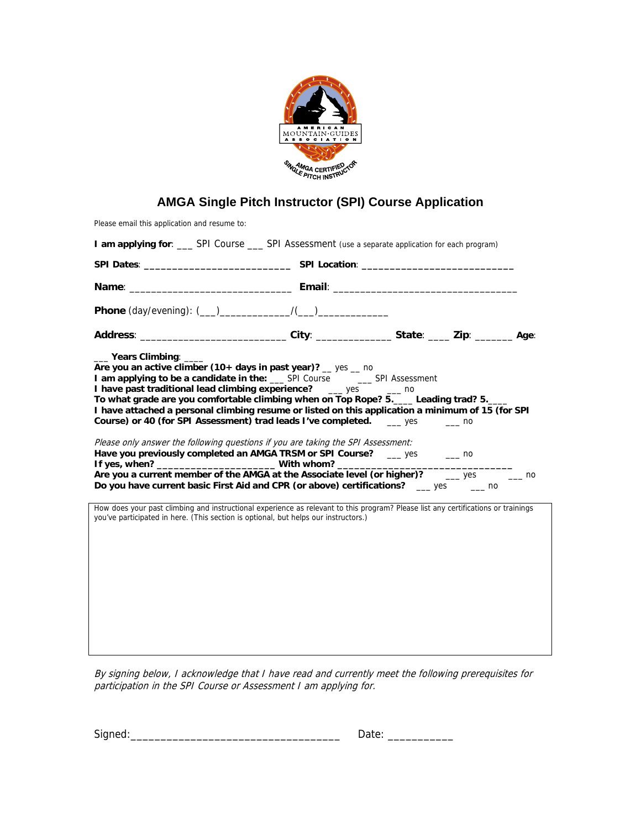

## **AMGA Single Pitch Instructor (SPI) Course Application**

Please email this application and resume to:

| I am applying for: _____ SPI Course _____ SPI Assessment (use a separate application for each program)                                                                                                                                                                                                                                                                                                                                                                                                                                                                                                                                                                                                                                                                                                                                                                                          |  |  |  |  |  |
|-------------------------------------------------------------------------------------------------------------------------------------------------------------------------------------------------------------------------------------------------------------------------------------------------------------------------------------------------------------------------------------------------------------------------------------------------------------------------------------------------------------------------------------------------------------------------------------------------------------------------------------------------------------------------------------------------------------------------------------------------------------------------------------------------------------------------------------------------------------------------------------------------|--|--|--|--|--|
|                                                                                                                                                                                                                                                                                                                                                                                                                                                                                                                                                                                                                                                                                                                                                                                                                                                                                                 |  |  |  |  |  |
|                                                                                                                                                                                                                                                                                                                                                                                                                                                                                                                                                                                                                                                                                                                                                                                                                                                                                                 |  |  |  |  |  |
|                                                                                                                                                                                                                                                                                                                                                                                                                                                                                                                                                                                                                                                                                                                                                                                                                                                                                                 |  |  |  |  |  |
| Address: _____________________________City: ________________State: _____ Zip: ______________________                                                                                                                                                                                                                                                                                                                                                                                                                                                                                                                                                                                                                                                                                                                                                                                            |  |  |  |  |  |
| ____ Years Climbing: ____<br>Are you an active climber (10+ days in past year)? $\_\$ yes $\_\$ no<br>I am applying to be a candidate in the: __ SPI Course __ _ SPI Assessment<br>I have past traditional lead climbing experience? __ yes __ no<br>To what grade are you comfortable climbing when on Top Rope? 5.____ Leading trad? 5.___<br>I have attached a personal climbing resume or listed on this application a minimum of 15 (for SPI<br>Course) or 40 (for SPI Assessment) trad leads I've completed. ___ yes _____ no<br>Please only answer the following questions if you are taking the SPI Assessment:<br>Have you previously completed an AMGA TRSM or SPI Course? __ yes __ _ no<br>Are you a current member of the AMGA at the Associate level (or higher)? _______ yes ________ no<br>Do you have current basic First Aid and CPR (or above) certifications? __ yes ___ no |  |  |  |  |  |
| How does your past climbing and instructional experience as relevant to this program? Please list any certifications or trainings<br>you've participated in here. (This section is optional, but helps our instructors.)                                                                                                                                                                                                                                                                                                                                                                                                                                                                                                                                                                                                                                                                        |  |  |  |  |  |
|                                                                                                                                                                                                                                                                                                                                                                                                                                                                                                                                                                                                                                                                                                                                                                                                                                                                                                 |  |  |  |  |  |
|                                                                                                                                                                                                                                                                                                                                                                                                                                                                                                                                                                                                                                                                                                                                                                                                                                                                                                 |  |  |  |  |  |
|                                                                                                                                                                                                                                                                                                                                                                                                                                                                                                                                                                                                                                                                                                                                                                                                                                                                                                 |  |  |  |  |  |
|                                                                                                                                                                                                                                                                                                                                                                                                                                                                                                                                                                                                                                                                                                                                                                                                                                                                                                 |  |  |  |  |  |
|                                                                                                                                                                                                                                                                                                                                                                                                                                                                                                                                                                                                                                                                                                                                                                                                                                                                                                 |  |  |  |  |  |

By signing below, I acknowledge that I have read and currently meet the following prerequisites for participation in the SPI Course or Assessment I am applying for.

| Signed | ÷ |
|--------|---|
|--------|---|